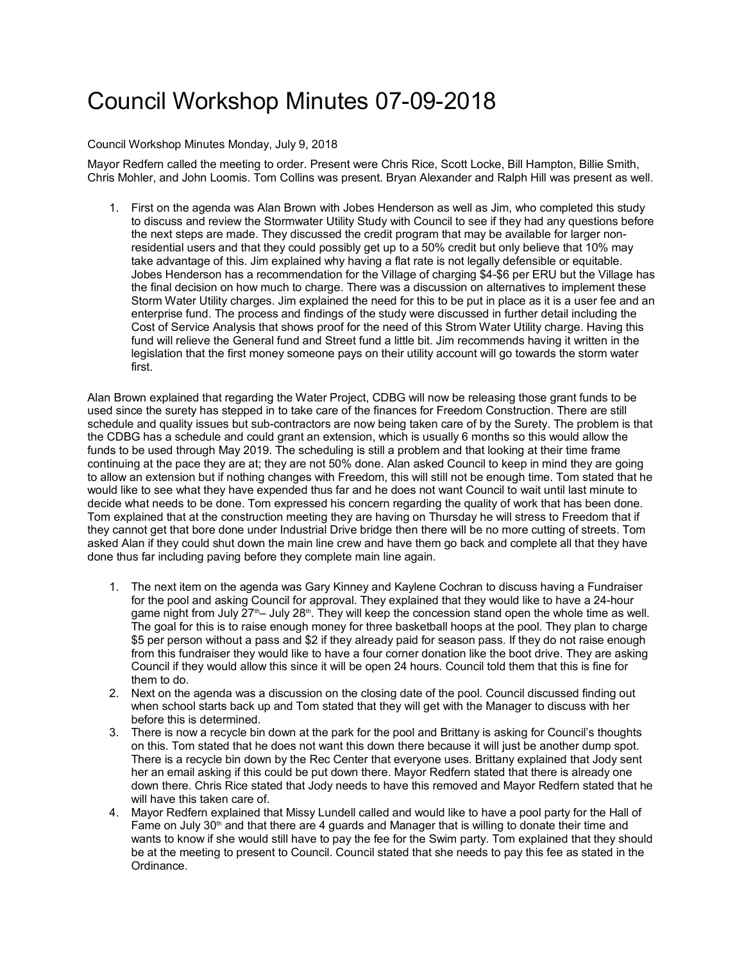## Council Workshop Minutes 07-09-2018

## Council Workshop Minutes Monday, July 9, 2018

Mayor Redfern called the meeting to order. Present were Chris Rice, Scott Locke, Bill Hampton, Billie Smith, Chris Mohler, and John Loomis. Tom Collins was present. Bryan Alexander and Ralph Hill was present as well.

1. First on the agenda was Alan Brown with Jobes Henderson as well as Jim, who completed this study to discuss and review the Stormwater Utility Study with Council to see if they had any questions before the next steps are made. They discussed the credit program that may be available for larger nonresidential users and that they could possibly get up to a 50% credit but only believe that 10% may take advantage of this. Jim explained why having a flat rate is not legally defensible or equitable. Jobes Henderson has a recommendation for the Village of charging \$4-\$6 per ERU but the Village has the final decision on how much to charge. There was a discussion on alternatives to implement these Storm Water Utility charges. Jim explained the need for this to be put in place as it is a user fee and an enterprise fund. The process and findings of the study were discussed in further detail including the Cost of Service Analysis that shows proof for the need of this Strom Water Utility charge. Having this fund will relieve the General fund and Street fund a little bit. Jim recommends having it written in the legislation that the first money someone pays on their utility account will go towards the storm water first.

Alan Brown explained that regarding the Water Project, CDBG will now be releasing those grant funds to be used since the surety has stepped in to take care of the finances for Freedom Construction. There are still schedule and quality issues but sub-contractors are now being taken care of by the Surety. The problem is that the CDBG has a schedule and could grant an extension, which is usually 6 months so this would allow the funds to be used through May 2019. The scheduling is still a problem and that looking at their time frame continuing at the pace they are at; they are not 50% done. Alan asked Council to keep in mind they are going to allow an extension but if nothing changes with Freedom, this will still not be enough time. Tom stated that he would like to see what they have expended thus far and he does not want Council to wait until last minute to decide what needs to be done. Tom expressed his concern regarding the quality of work that has been done. Tom explained that at the construction meeting they are having on Thursday he will stress to Freedom that if they cannot get that bore done under Industrial Drive bridge then there will be no more cutting of streets. Tom asked Alan if they could shut down the main line crew and have them go back and complete all that they have done thus far including paving before they complete main line again.

- 1. The next item on the agenda was Gary Kinney and Kaylene Cochran to discuss having a Fundraiser for the pool and asking Council for approval. They explained that they would like to have a 24-hour game night from July  $27<sup>th</sup>$ – July  $28<sup>th</sup>$ . They will keep the concession stand open the whole time as well. The goal for this is to raise enough money for three basketball hoops at the pool. They plan to charge \$5 per person without a pass and \$2 if they already paid for season pass. If they do not raise enough from this fundraiser they would like to have a four corner donation like the boot drive. They are asking Council if they would allow this since it will be open 24 hours. Council told them that this is fine for them to do.
- 2. Next on the agenda was a discussion on the closing date of the pool. Council discussed finding out when school starts back up and Tom stated that they will get with the Manager to discuss with her before this is determined.
- 3. There is now a recycle bin down at the park for the pool and Brittany is asking for Council's thoughts on this. Tom stated that he does not want this down there because it will just be another dump spot. There is a recycle bin down by the Rec Center that everyone uses. Brittany explained that Jody sent her an email asking if this could be put down there. Mayor Redfern stated that there is already one down there. Chris Rice stated that Jody needs to have this removed and Mayor Redfern stated that he will have this taken care of.
- 4. Mayor Redfern explained that Missy Lundell called and would like to have a pool party for the Hall of Fame on July 30<sup>th</sup> and that there are 4 guards and Manager that is willing to donate their time and wants to know if she would still have to pay the fee for the Swim party. Tom explained that they should be at the meeting to present to Council. Council stated that she needs to pay this fee as stated in the Ordinance.